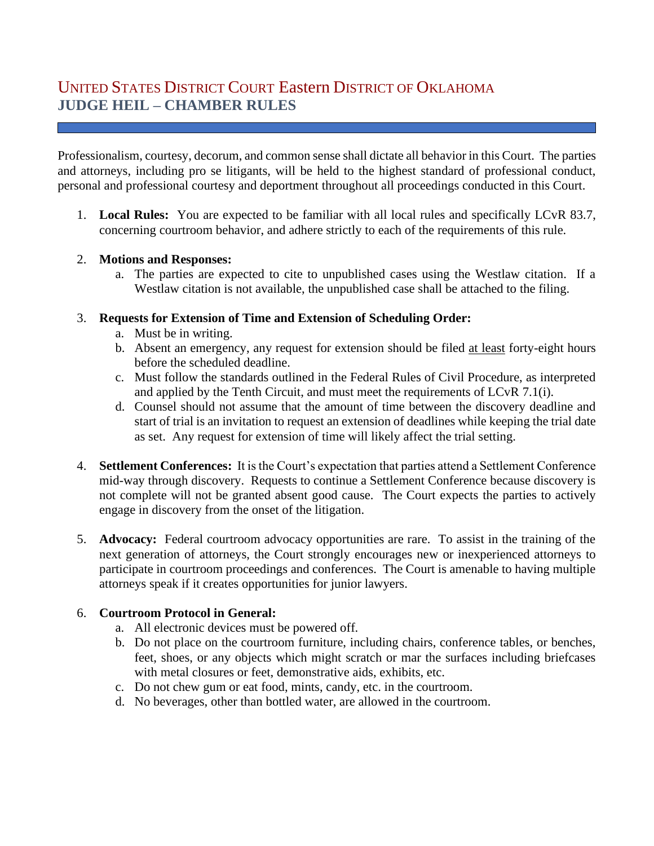# UNITED STATES DISTRICT COURT Eastern DISTRICT OF OKLAHOMA **JUDGE HEIL – CHAMBER RULES**

Professionalism, courtesy, decorum, and common sense shall dictate all behavior in this Court. The parties and attorneys, including pro se litigants, will be held to the highest standard of professional conduct, personal and professional courtesy and deportment throughout all proceedings conducted in this Court.

1. **Local Rules:** You are expected to be familiar with all local rules and specifically LCvR 83.7, concerning courtroom behavior, and adhere strictly to each of the requirements of this rule.

#### 2. **Motions and Responses:**

a. The parties are expected to cite to unpublished cases using the Westlaw citation. If a Westlaw citation is not available, the unpublished case shall be attached to the filing.

#### 3. **Requests for Extension of Time and Extension of Scheduling Order:**

- a. Must be in writing.
- b. Absent an emergency, any request for extension should be filed at least forty-eight hours before the scheduled deadline.
- c. Must follow the standards outlined in the Federal Rules of Civil Procedure, as interpreted and applied by the Tenth Circuit, and must meet the requirements of LCvR 7.1(i).
- d. Counsel should not assume that the amount of time between the discovery deadline and start of trial is an invitation to request an extension of deadlines while keeping the trial date as set. Any request for extension of time will likely affect the trial setting.
- 4. **Settlement Conferences:** It is the Court's expectation that parties attend a Settlement Conference mid-way through discovery. Requests to continue a Settlement Conference because discovery is not complete will not be granted absent good cause. The Court expects the parties to actively engage in discovery from the onset of the litigation.
- 5. **Advocacy:** Federal courtroom advocacy opportunities are rare. To assist in the training of the next generation of attorneys, the Court strongly encourages new or inexperienced attorneys to participate in courtroom proceedings and conferences. The Court is amenable to having multiple attorneys speak if it creates opportunities for junior lawyers.

## 6. **Courtroom Protocol in General:**

- a. All electronic devices must be powered off.
- b. Do not place on the courtroom furniture, including chairs, conference tables, or benches, feet, shoes, or any objects which might scratch or mar the surfaces including briefcases with metal closures or feet, demonstrative aids, exhibits, etc.
- c. Do not chew gum or eat food, mints, candy, etc. in the courtroom.
- d. No beverages, other than bottled water, are allowed in the courtroom.